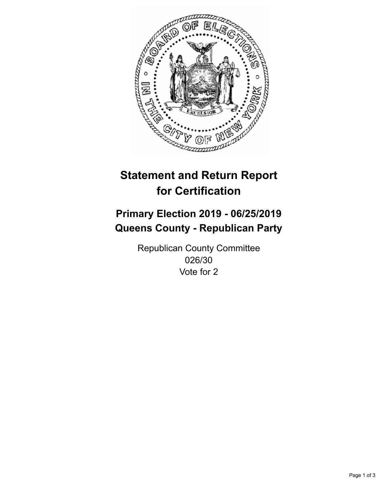

## **Statement and Return Report for Certification**

## **Primary Election 2019 - 06/25/2019 Queens County - Republican Party**

Republican County Committee 026/30 Vote for 2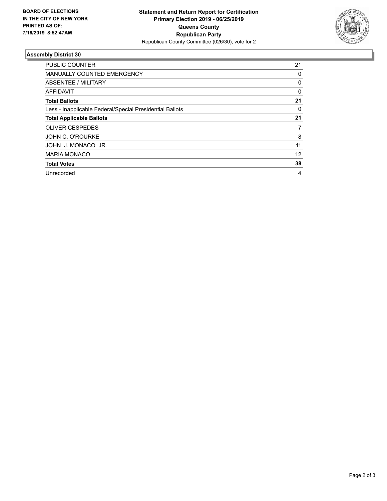

## **Assembly District 30**

| <b>PUBLIC COUNTER</b>                                    | 21       |
|----------------------------------------------------------|----------|
| <b>MANUALLY COUNTED EMERGENCY</b>                        | 0        |
| ABSENTEE / MILITARY                                      | 0        |
| AFFIDAVIT                                                | $\Omega$ |
| <b>Total Ballots</b>                                     | 21       |
| Less - Inapplicable Federal/Special Presidential Ballots | 0        |
| <b>Total Applicable Ballots</b>                          | 21       |
| <b>OLIVER CESPEDES</b>                                   | 7        |
| <b>JOHN C. O'ROURKE</b>                                  | 8        |
| JOHN J. MONACO JR.                                       | 11       |
| <b>MARIA MONACO</b>                                      | 12       |
| <b>Total Votes</b>                                       | 38       |
| Unrecorded                                               | 4        |